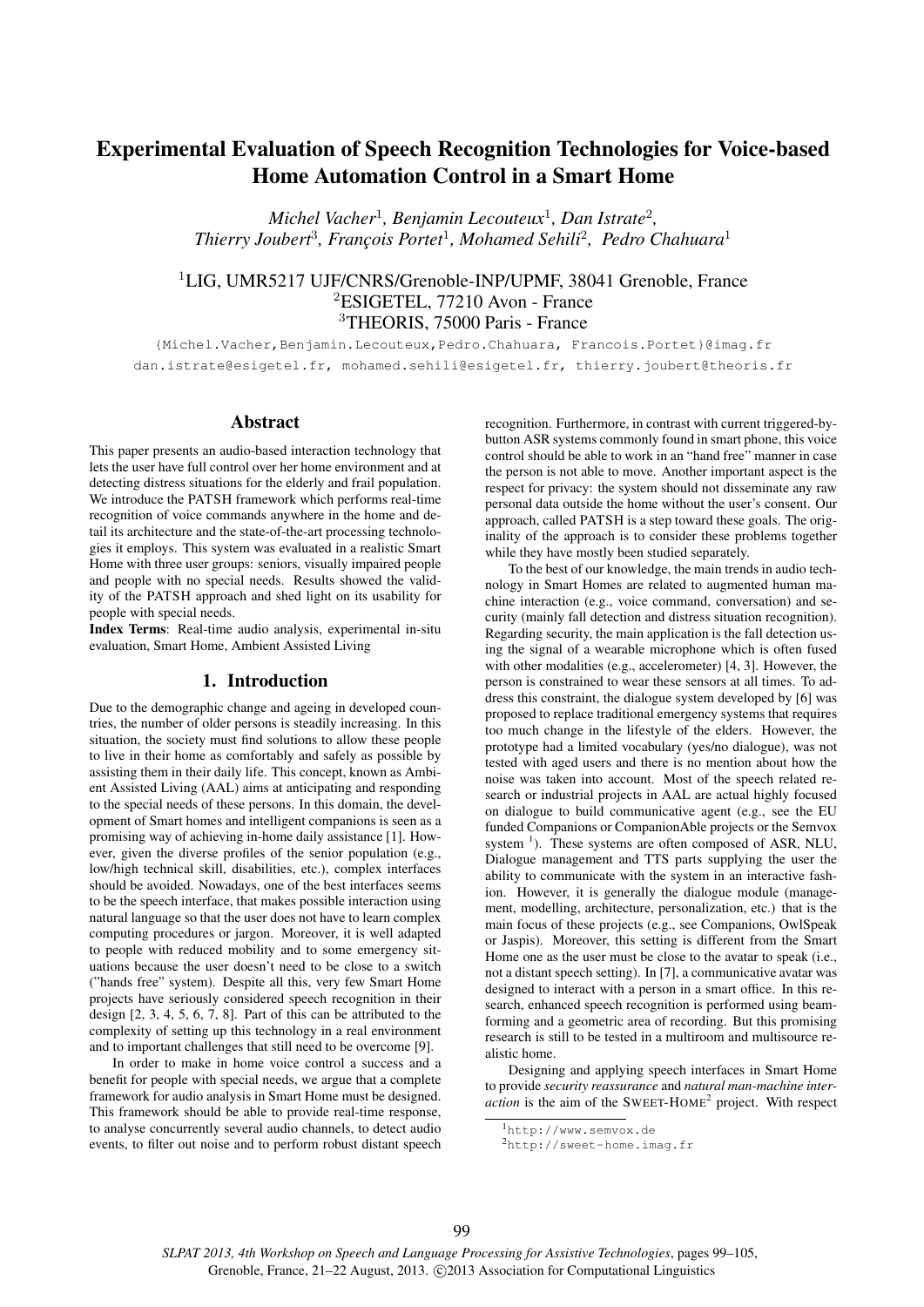# Experimental Evaluation of Speech Recognition Technologies for Voice-based Home Automation Control in a Smart Home

*Michel Vacher*<sup>1</sup> *, Benjamin Lecouteux*<sup>1</sup> *, Dan Istrate*<sup>2</sup> *, Thierry Joubert*<sup>3</sup> *, François Portet*<sup>1</sup> *, Mohamed Sehili*<sup>2</sup> *, Pedro Chahuara*<sup>1</sup>

# <sup>1</sup>LIG, UMR5217 UJF/CNRS/Grenoble-INP/UPMF, 38041 Grenoble, France <sup>2</sup>ESIGETEL, 77210 Avon - France <sup>3</sup>THEORIS, 75000 Paris - France

{Michel.Vacher,Benjamin.Lecouteux,Pedro.Chahuara, Francois.Portet}@imag.fr dan.istrate@esigetel.fr, mohamed.sehili@esigetel.fr, thierry.joubert@theoris.fr

### Abstract

This paper presents an audio-based interaction technology that lets the user have full control over her home environment and at detecting distress situations for the elderly and frail population. We introduce the PATSH framework which performs real-time recognition of voice commands anywhere in the home and detail its architecture and the state-of-the-art processing technologies it employs. This system was evaluated in a realistic Smart Home with three user groups: seniors, visually impaired people and people with no special needs. Results showed the validity of the PATSH approach and shed light on its usability for people with special needs.

Index Terms: Real-time audio analysis, experimental in-situ evaluation, Smart Home, Ambient Assisted Living

#### 1. Introduction

Due to the demographic change and ageing in developed countries, the number of older persons is steadily increasing. In this situation, the society must find solutions to allow these people to live in their home as comfortably and safely as possible by assisting them in their daily life. This concept, known as Ambient Assisted Living (AAL) aims at anticipating and responding to the special needs of these persons. In this domain, the development of Smart homes and intelligent companions is seen as a promising way of achieving in-home daily assistance [1]. However, given the diverse profiles of the senior population (e.g., low/high technical skill, disabilities, etc.), complex interfaces should be avoided. Nowadays, one of the best interfaces seems to be the speech interface, that makes possible interaction using natural language so that the user does not have to learn complex computing procedures or jargon. Moreover, it is well adapted to people with reduced mobility and to some emergency situations because the user doesn't need to be close to a switch ("hands free" system). Despite all this, very few Smart Home projects have seriously considered speech recognition in their design [2, 3, 4, 5, 6, 7, 8]. Part of this can be attributed to the complexity of setting up this technology in a real environment and to important challenges that still need to be overcome [9].

In order to make in home voice control a success and a benefit for people with special needs, we argue that a complete framework for audio analysis in Smart Home must be designed. This framework should be able to provide real-time response, to analyse concurrently several audio channels, to detect audio events, to filter out noise and to perform robust distant speech recognition. Furthermore, in contrast with current triggered-bybutton ASR systems commonly found in smart phone, this voice control should be able to work in an "hand free" manner in case the person is not able to move. Another important aspect is the respect for privacy: the system should not disseminate any raw personal data outside the home without the user's consent. Our approach, called PATSH is a step toward these goals. The originality of the approach is to consider these problems together while they have mostly been studied separately.

To the best of our knowledge, the main trends in audio technology in Smart Homes are related to augmented human machine interaction (e.g., voice command, conversation) and security (mainly fall detection and distress situation recognition). Regarding security, the main application is the fall detection using the signal of a wearable microphone which is often fused with other modalities (e.g., accelerometer) [4, 3]. However, the person is constrained to wear these sensors at all times. To address this constraint, the dialogue system developed by [6] was proposed to replace traditional emergency systems that requires too much change in the lifestyle of the elders. However, the prototype had a limited vocabulary (yes/no dialogue), was not tested with aged users and there is no mention about how the noise was taken into account. Most of the speech related research or industrial projects in AAL are actual highly focused on dialogue to build communicative agent (e.g., see the EU funded Companions or CompanionAble projects or the Semvox system  $<sup>1</sup>$ ). These systems are often composed of ASR, NLU,</sup> Dialogue management and TTS parts supplying the user the ability to communicate with the system in an interactive fashion. However, it is generally the dialogue module (management, modelling, architecture, personalization, etc.) that is the main focus of these projects (e.g., see Companions, OwlSpeak or Jaspis). Moreover, this setting is different from the Smart Home one as the user must be close to the avatar to speak (i.e., not a distant speech setting). In [7], a communicative avatar was designed to interact with a person in a smart office. In this research, enhanced speech recognition is performed using beamforming and a geometric area of recording. But this promising research is still to be tested in a multiroom and multisource realistic home.

Designing and applying speech interfaces in Smart Home to provide *security reassurance* and *natural man-machine inter*action is the aim of the SWEET-HOME<sup>2</sup> project. With respect

<sup>1</sup>http://www.semvox.de

<sup>2</sup>http://sweet-home.imag.fr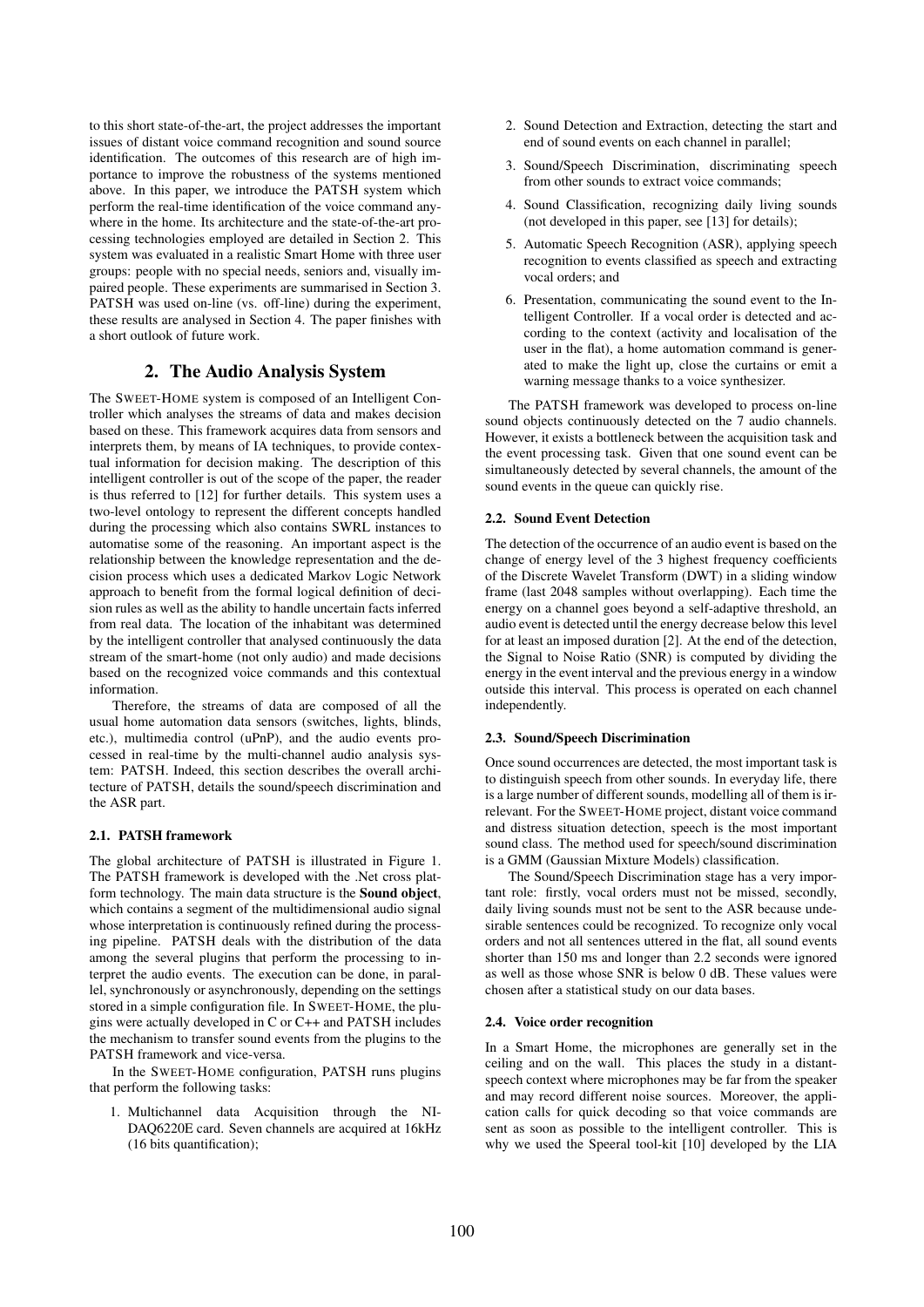to this short state-of-the-art, the project addresses the important issues of distant voice command recognition and sound source identification. The outcomes of this research are of high importance to improve the robustness of the systems mentioned above. In this paper, we introduce the PATSH system which perform the real-time identification of the voice command anywhere in the home. Its architecture and the state-of-the-art processing technologies employed are detailed in Section 2. This system was evaluated in a realistic Smart Home with three user groups: people with no special needs, seniors and, visually impaired people. These experiments are summarised in Section 3. PATSH was used on-line (vs. off-line) during the experiment, these results are analysed in Section 4. The paper finishes with a short outlook of future work.

# 2. The Audio Analysis System

The SWEET-HOME system is composed of an Intelligent Controller which analyses the streams of data and makes decision based on these. This framework acquires data from sensors and interprets them, by means of IA techniques, to provide contextual information for decision making. The description of this intelligent controller is out of the scope of the paper, the reader is thus referred to [12] for further details. This system uses a two-level ontology to represent the different concepts handled during the processing which also contains SWRL instances to automatise some of the reasoning. An important aspect is the relationship between the knowledge representation and the decision process which uses a dedicated Markov Logic Network approach to benefit from the formal logical definition of decision rules as well as the ability to handle uncertain facts inferred from real data. The location of the inhabitant was determined by the intelligent controller that analysed continuously the data stream of the smart-home (not only audio) and made decisions based on the recognized voice commands and this contextual information.

Therefore, the streams of data are composed of all the usual home automation data sensors (switches, lights, blinds, etc.), multimedia control (uPnP), and the audio events processed in real-time by the multi-channel audio analysis system: PATSH. Indeed, this section describes the overall architecture of PATSH, details the sound/speech discrimination and the ASR part.

#### 2.1. PATSH framework

The global architecture of PATSH is illustrated in Figure 1. The PATSH framework is developed with the .Net cross platform technology. The main data structure is the Sound object, which contains a segment of the multidimensional audio signal whose interpretation is continuously refined during the processing pipeline. PATSH deals with the distribution of the data among the several plugins that perform the processing to interpret the audio events. The execution can be done, in parallel, synchronously or asynchronously, depending on the settings stored in a simple configuration file. In SWEET-HOME, the plugins were actually developed in C or C++ and PATSH includes the mechanism to transfer sound events from the plugins to the PATSH framework and vice-versa.

In the SWEET-HOME configuration, PATSH runs plugins that perform the following tasks:

1. Multichannel data Acquisition through the NI-DAQ6220E card. Seven channels are acquired at 16kHz (16 bits quantification);

- 2. Sound Detection and Extraction, detecting the start and end of sound events on each channel in parallel;
- 3. Sound/Speech Discrimination, discriminating speech from other sounds to extract voice commands;
- 4. Sound Classification, recognizing daily living sounds (not developed in this paper, see [13] for details);
- 5. Automatic Speech Recognition (ASR), applying speech recognition to events classified as speech and extracting vocal orders; and
- 6. Presentation, communicating the sound event to the Intelligent Controller. If a vocal order is detected and according to the context (activity and localisation of the user in the flat), a home automation command is generated to make the light up, close the curtains or emit a warning message thanks to a voice synthesizer.

The PATSH framework was developed to process on-line sound objects continuously detected on the 7 audio channels. However, it exists a bottleneck between the acquisition task and the event processing task. Given that one sound event can be simultaneously detected by several channels, the amount of the sound events in the queue can quickly rise.

#### 2.2. Sound Event Detection

The detection of the occurrence of an audio event is based on the change of energy level of the 3 highest frequency coefficients of the Discrete Wavelet Transform (DWT) in a sliding window frame (last 2048 samples without overlapping). Each time the energy on a channel goes beyond a self-adaptive threshold, an audio event is detected until the energy decrease below this level for at least an imposed duration [2]. At the end of the detection, the Signal to Noise Ratio (SNR) is computed by dividing the energy in the event interval and the previous energy in a window outside this interval. This process is operated on each channel independently.

### 2.3. Sound/Speech Discrimination

Once sound occurrences are detected, the most important task is to distinguish speech from other sounds. In everyday life, there is a large number of different sounds, modelling all of them is irrelevant. For the SWEET-HOME project, distant voice command and distress situation detection, speech is the most important sound class. The method used for speech/sound discrimination is a GMM (Gaussian Mixture Models) classification.

The Sound/Speech Discrimination stage has a very important role: firstly, vocal orders must not be missed, secondly, daily living sounds must not be sent to the ASR because undesirable sentences could be recognized. To recognize only vocal orders and not all sentences uttered in the flat, all sound events shorter than 150 ms and longer than 2.2 seconds were ignored as well as those whose SNR is below 0 dB. These values were chosen after a statistical study on our data bases.

#### 2.4. Voice order recognition

In a Smart Home, the microphones are generally set in the ceiling and on the wall. This places the study in a distantspeech context where microphones may be far from the speaker and may record different noise sources. Moreover, the application calls for quick decoding so that voice commands are sent as soon as possible to the intelligent controller. This is why we used the Speeral tool-kit [10] developed by the LIA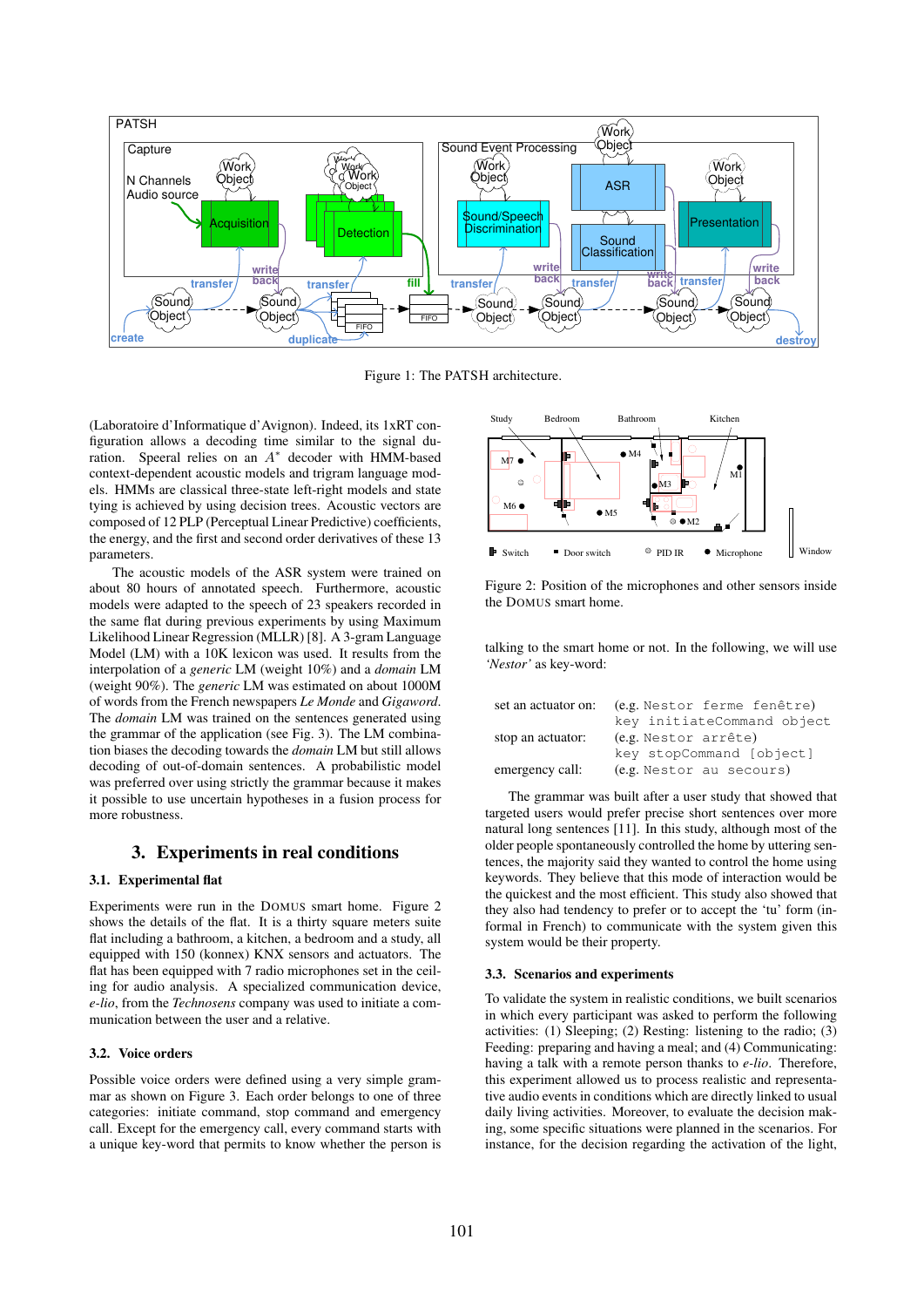

Figure 1: The PATSH architecture.

(Laboratoire d'Informatique d'Avignon). Indeed, its 1xRT configuration allows a decoding time similar to the signal duration. Speeral relies on an  $A^*$  decoder with HMM-based context-dependent acoustic models and trigram language models. HMMs are classical three-state left-right models and state tying is achieved by using decision trees. Acoustic vectors are composed of 12 PLP (Perceptual Linear Predictive) coefficients, the energy, and the first and second order derivatives of these 13 parameters.

The acoustic models of the ASR system were trained on about 80 hours of annotated speech. Furthermore, acoustic models were adapted to the speech of 23 speakers recorded in the same flat during previous experiments by using Maximum Likelihood Linear Regression (MLLR) [8]. A 3-gram Language Model (LM) with a 10K lexicon was used. It results from the interpolation of a *generic* LM (weight 10%) and a *domain* LM (weight 90%). The *generic* LM was estimated on about 1000M of words from the French newspapers *Le Monde* and *Gigaword*. The *domain* LM was trained on the sentences generated using the grammar of the application (see Fig. 3). The LM combination biases the decoding towards the *domain* LM but still allows decoding of out-of-domain sentences. A probabilistic model was preferred over using strictly the grammar because it makes it possible to use uncertain hypotheses in a fusion process for more robustness.

### 3. Experiments in real conditions

### 3.1. Experimental flat

Experiments were run in the DOMUS smart home. Figure 2 shows the details of the flat. It is a thirty square meters suite flat including a bathroom, a kitchen, a bedroom and a study, all equipped with 150 (konnex) KNX sensors and actuators. The flat has been equipped with 7 radio microphones set in the ceiling for audio analysis. A specialized communication device, *e-lio*, from the *Technosens* company was used to initiate a communication between the user and a relative.

#### 3.2. Voice orders

Possible voice orders were defined using a very simple grammar as shown on Figure 3. Each order belongs to one of three categories: initiate command, stop command and emergency call. Except for the emergency call, every command starts with a unique key-word that permits to know whether the person is



Figure 2: Position of the microphones and other sensors inside the DOMUS smart home.

talking to the smart home or not. In the following, we will use *'Nestor'* as key-word:

| set an actuator on: | (e.g. Nestor ferme fenêtre) |  |  |  |  |
|---------------------|-----------------------------|--|--|--|--|
|                     | key initiateCommand object  |  |  |  |  |
| stop an actuator:   | (e.g. Nestor arrête)        |  |  |  |  |
|                     | key stopCommand [object]    |  |  |  |  |
| emergency call:     | (e.g. Nestor au secours)    |  |  |  |  |

The grammar was built after a user study that showed that targeted users would prefer precise short sentences over more natural long sentences [11]. In this study, although most of the older people spontaneously controlled the home by uttering sentences, the majority said they wanted to control the home using keywords. They believe that this mode of interaction would be the quickest and the most efficient. This study also showed that they also had tendency to prefer or to accept the 'tu' form (informal in French) to communicate with the system given this system would be their property.

#### 3.3. Scenarios and experiments

To validate the system in realistic conditions, we built scenarios in which every participant was asked to perform the following activities: (1) Sleeping; (2) Resting: listening to the radio; (3) Feeding: preparing and having a meal; and (4) Communicating: having a talk with a remote person thanks to *e-lio*. Therefore, this experiment allowed us to process realistic and representative audio events in conditions which are directly linked to usual daily living activities. Moreover, to evaluate the decision making, some specific situations were planned in the scenarios. For instance, for the decision regarding the activation of the light,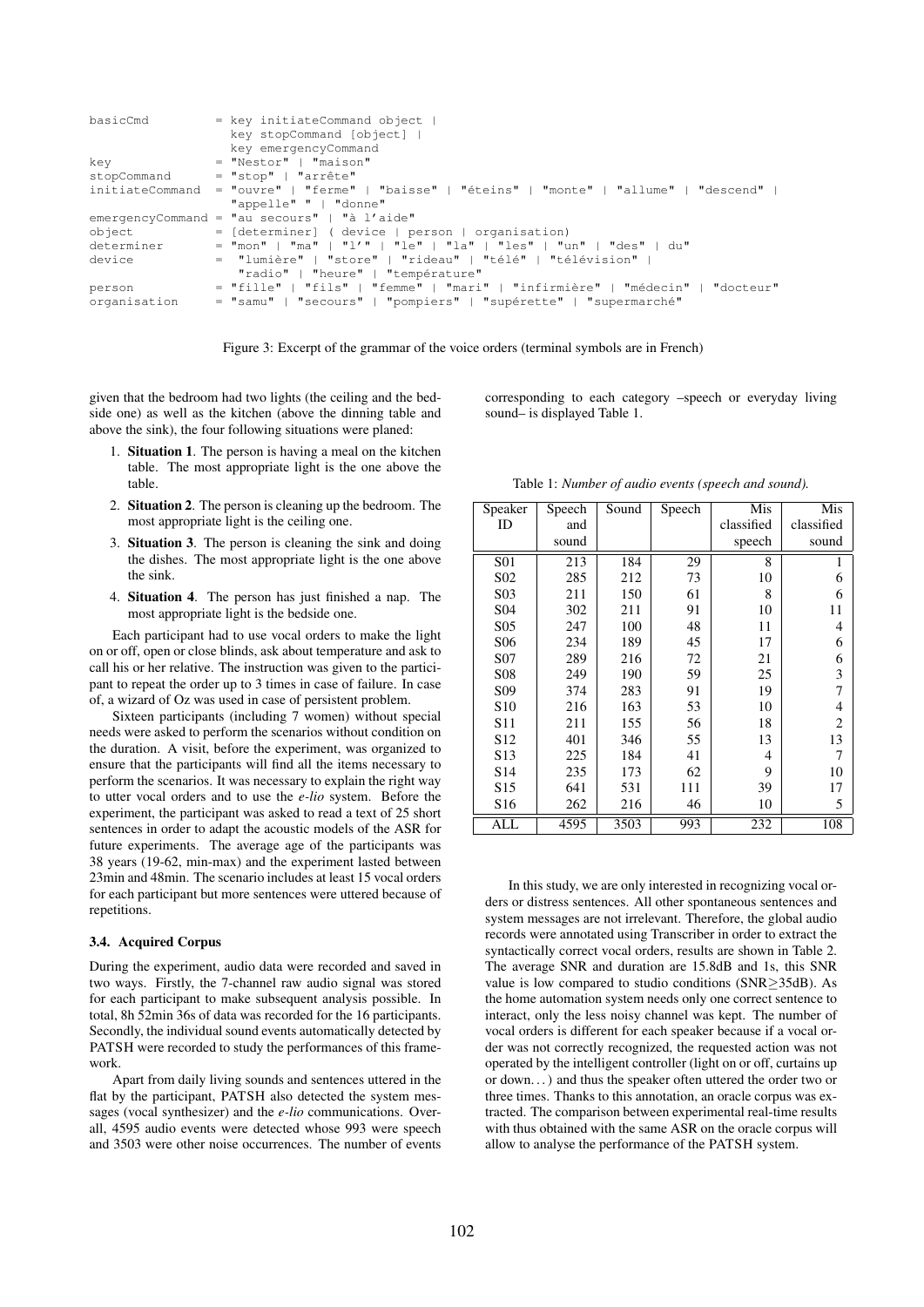| basicCmd        | $=$ key initiateCommand object  <br>key stopCommand [object]  <br>key emergencyCommand |
|-----------------|----------------------------------------------------------------------------------------|
| kev             | $=$ "Nestor"   "maison"                                                                |
| stopCommand     | $= "stop"   "arrête"$                                                                  |
| initiateCommand | = "ouvre"   "ferme"   "baisse"   "éteins"   "monte"   "allume"   "descend"             |
|                 | "appelle" "   "donne"                                                                  |
|                 | emergencyCommand = "au secours"   "à l'aide"                                           |
| object          | = [determiner] ( device   person   organisation)                                       |
| determiner      | $=$ "mon"   "ma"   "l'"   "le"   "la"   "les"   "un"   "des"   du"                     |
| device          | = "lumière"   "store"   "rideau"   "télé"   "télévision"                               |
|                 | "radio"   "heure"   "température"                                                      |
| person          | = "fille"   "fils"   "femme"   "mari"   "infirmière"   "médecin"   "docteur"           |
| organisation    | = "samu"   "secours"   "pompiers"   "supérette"   "supermarché"                        |



given that the bedroom had two lights (the ceiling and the bedside one) as well as the kitchen (above the dinning table and above the sink), the four following situations were planed:

- 1. Situation 1. The person is having a meal on the kitchen table. The most appropriate light is the one above the table.
- 2. Situation 2. The person is cleaning up the bedroom. The most appropriate light is the ceiling one.
- 3. Situation 3. The person is cleaning the sink and doing the dishes. The most appropriate light is the one above the sink.
- 4. Situation 4. The person has just finished a nap. The most appropriate light is the bedside one.

Each participant had to use vocal orders to make the light on or off, open or close blinds, ask about temperature and ask to call his or her relative. The instruction was given to the participant to repeat the order up to 3 times in case of failure. In case of, a wizard of Oz was used in case of persistent problem.

Sixteen participants (including 7 women) without special needs were asked to perform the scenarios without condition on the duration. A visit, before the experiment, was organized to ensure that the participants will find all the items necessary to perform the scenarios. It was necessary to explain the right way to utter vocal orders and to use the *e-lio* system. Before the experiment, the participant was asked to read a text of 25 short sentences in order to adapt the acoustic models of the ASR for future experiments. The average age of the participants was 38 years (19-62, min-max) and the experiment lasted between 23min and 48min. The scenario includes at least 15 vocal orders for each participant but more sentences were uttered because of repetitions.

### 3.4. Acquired Corpus

During the experiment, audio data were recorded and saved in two ways. Firstly, the 7-channel raw audio signal was stored for each participant to make subsequent analysis possible. In total, 8h 52min 36s of data was recorded for the 16 participants. Secondly, the individual sound events automatically detected by PATSH were recorded to study the performances of this framework.

Apart from daily living sounds and sentences uttered in the flat by the participant, PATSH also detected the system messages (vocal synthesizer) and the *e-lio* communications. Overall, 4595 audio events were detected whose 993 were speech and 3503 were other noise occurrences. The number of events

corresponding to each category –speech or everyday living sound– is displayed Table 1.

| Speaker          | Speech | Sound | Speech | Mis        | Mis                      |
|------------------|--------|-------|--------|------------|--------------------------|
| ID               | and    |       |        | classified | classified               |
|                  | sound  |       |        | speech     | sound                    |
| <b>S01</b>       | 213    | 184   | 29     | 8          | 1                        |
| S <sub>0</sub> 2 | 285    | 212   | 73     | 10         | 6                        |
| S <sub>0</sub> 3 | 211    | 150   | 61     | 8          | 6                        |
| S <sub>04</sub>  | 302    | 211   | 91     | 10         | 11                       |
| S <sub>05</sub>  | 247    | 100   | 48     | 11         | 4                        |
| S <sub>06</sub>  | 234    | 189   | 45     | 17         | 6                        |
| S <sub>07</sub>  | 289    | 216   | 72     | 21         | 6                        |
| <b>S08</b>       | 249    | 190   | 59     | 25         | 3                        |
| S <sub>09</sub>  | 374    | 283   | 91     | 19         | 7                        |
| S <sub>10</sub>  | 216    | 163   | 53     | 10         | $\overline{\mathcal{L}}$ |
| S <sub>11</sub>  | 211    | 155   | 56     | 18         | $\overline{c}$           |
| S <sub>12</sub>  | 401    | 346   | 55     | 13         | 13                       |
| S <sub>13</sub>  | 225    | 184   | 41     | 4          | 7                        |
| S <sub>14</sub>  | 235    | 173   | 62     | 9          | 10                       |
| S <sub>15</sub>  | 641    | 531   | 111    | 39         | 17                       |
| S <sub>16</sub>  | 262    | 216   | 46     | 10         | 5                        |
| ALL              | 4595   | 3503  | 993    | 232        | 108                      |

Table 1: *Number of audio events (speech and sound).*

In this study, we are only interested in recognizing vocal orders or distress sentences. All other spontaneous sentences and system messages are not irrelevant. Therefore, the global audio records were annotated using Transcriber in order to extract the syntactically correct vocal orders, results are shown in Table 2. The average SNR and duration are 15.8dB and 1s, this SNR value is low compared to studio conditions (SNR≥35dB). As the home automation system needs only one correct sentence to interact, only the less noisy channel was kept. The number of vocal orders is different for each speaker because if a vocal order was not correctly recognized, the requested action was not operated by the intelligent controller (light on or off, curtains up or down. . . ) and thus the speaker often uttered the order two or three times. Thanks to this annotation, an oracle corpus was extracted. The comparison between experimental real-time results with thus obtained with the same ASR on the oracle corpus will allow to analyse the performance of the PATSH system.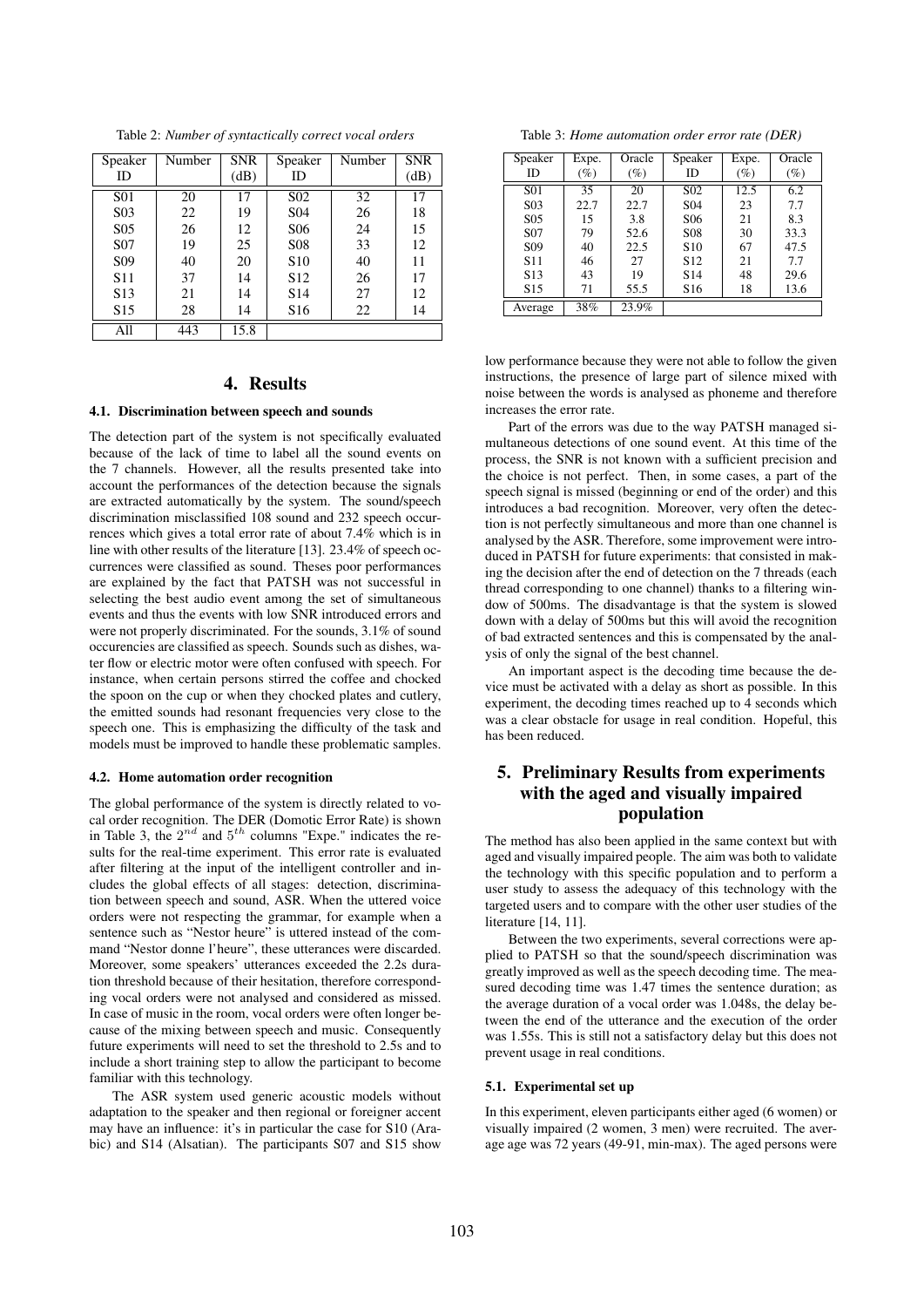Table 2: *Number of syntactically correct vocal orders*

| Speaker          | Number | <b>SNR</b> | Speaker          | Number | <b>SNR</b> |
|------------------|--------|------------|------------------|--------|------------|
| ID               |        | (dB)       | ID               |        | (dB)       |
| S <sub>01</sub>  | 20     | 17         | S <sub>0</sub> 2 | 32     | 17         |
| S <sub>0</sub> 3 | 22     | 19         | S <sub>04</sub>  | 26     | 18         |
| S <sub>05</sub>  | 26     | 12         | S <sub>06</sub>  | 24     | 15         |
| S <sub>07</sub>  | 19     | 25         | <b>S08</b>       | 33     | 12         |
| S <sub>09</sub>  | 40     | 20         | S <sub>10</sub>  | 40     | 11         |
| S <sub>11</sub>  | 37     | 14         | S <sub>12</sub>  | 26     | 17         |
| S <sub>13</sub>  | 21     | 14         | S <sub>14</sub>  | 27     | 12         |
| S <sub>15</sub>  | 28     | 14         | S <sub>16</sub>  | 22     | 14         |
| All              | 443    | 15.8       |                  |        |            |

# 4. Results

### 4.1. Discrimination between speech and sounds

The detection part of the system is not specifically evaluated because of the lack of time to label all the sound events on the 7 channels. However, all the results presented take into account the performances of the detection because the signals are extracted automatically by the system. The sound/speech discrimination misclassified 108 sound and 232 speech occurrences which gives a total error rate of about 7.4% which is in line with other results of the literature [13]. 23.4% of speech occurrences were classified as sound. Theses poor performances are explained by the fact that PATSH was not successful in selecting the best audio event among the set of simultaneous events and thus the events with low SNR introduced errors and were not properly discriminated. For the sounds, 3.1% of sound occurencies are classified as speech. Sounds such as dishes, water flow or electric motor were often confused with speech. For instance, when certain persons stirred the coffee and chocked the spoon on the cup or when they chocked plates and cutlery, the emitted sounds had resonant frequencies very close to the speech one. This is emphasizing the difficulty of the task and models must be improved to handle these problematic samples.

#### 4.2. Home automation order recognition

The global performance of the system is directly related to vocal order recognition. The DER (Domotic Error Rate) is shown in Table 3, the  $2^{nd}$  and  $5^{th}$  columns "Expe." indicates the results for the real-time experiment. This error rate is evaluated after filtering at the input of the intelligent controller and includes the global effects of all stages: detection, discrimination between speech and sound, ASR. When the uttered voice orders were not respecting the grammar, for example when a sentence such as "Nestor heure" is uttered instead of the command "Nestor donne l'heure", these utterances were discarded. Moreover, some speakers' utterances exceeded the 2.2s duration threshold because of their hesitation, therefore corresponding vocal orders were not analysed and considered as missed. In case of music in the room, vocal orders were often longer because of the mixing between speech and music. Consequently future experiments will need to set the threshold to 2.5s and to include a short training step to allow the participant to become familiar with this technology.

The ASR system used generic acoustic models without adaptation to the speaker and then regional or foreigner accent may have an influence: it's in particular the case for S10 (Arabic) and S14 (Alsatian). The participants S07 and S15 show

Table 3: *Home automation order error rate (DER)*

| Speaker         | Expe.  | Oracle | Speaker          | Expe.  | Oracle |
|-----------------|--------|--------|------------------|--------|--------|
| ID              | $(\%)$ | $(\%)$ | ID               | $(\%)$ | (%)    |
| S <sub>01</sub> | 35     | 20     | S <sub>0</sub> 2 | 12.5   | 6.2    |
| S <sub>03</sub> | 22.7   | 22.7   | S <sub>04</sub>  | 23     | 7.7    |
| S <sub>05</sub> | 15     | 3.8    | S <sub>06</sub>  | 21     | 8.3    |
| S <sub>07</sub> | 79     | 52.6   | <b>S08</b>       | 30     | 33.3   |
| S <sub>09</sub> | 40     | 22.5   | S <sub>10</sub>  | 67     | 47.5   |
| S <sub>11</sub> | 46     | 27     | S <sub>12</sub>  | 21     | 7.7    |
| S <sub>13</sub> | 43     | 19     | S <sub>14</sub>  | 48     | 29.6   |
| S <sub>15</sub> | 71     | 55.5   | S <sub>16</sub>  | 18     | 13.6   |
| Average         | 38%    | 23.9%  |                  |        |        |

low performance because they were not able to follow the given instructions, the presence of large part of silence mixed with noise between the words is analysed as phoneme and therefore increases the error rate.

Part of the errors was due to the way PATSH managed simultaneous detections of one sound event. At this time of the process, the SNR is not known with a sufficient precision and the choice is not perfect. Then, in some cases, a part of the speech signal is missed (beginning or end of the order) and this introduces a bad recognition. Moreover, very often the detection is not perfectly simultaneous and more than one channel is analysed by the ASR. Therefore, some improvement were introduced in PATSH for future experiments: that consisted in making the decision after the end of detection on the 7 threads (each thread corresponding to one channel) thanks to a filtering window of 500ms. The disadvantage is that the system is slowed down with a delay of 500ms but this will avoid the recognition of bad extracted sentences and this is compensated by the analysis of only the signal of the best channel.

An important aspect is the decoding time because the device must be activated with a delay as short as possible. In this experiment, the decoding times reached up to 4 seconds which was a clear obstacle for usage in real condition. Hopeful, this has been reduced.

# 5. Preliminary Results from experiments with the aged and visually impaired population

The method has also been applied in the same context but with aged and visually impaired people. The aim was both to validate the technology with this specific population and to perform a user study to assess the adequacy of this technology with the targeted users and to compare with the other user studies of the literature [14, 11].

Between the two experiments, several corrections were applied to PATSH so that the sound/speech discrimination was greatly improved as well as the speech decoding time. The measured decoding time was 1.47 times the sentence duration; as the average duration of a vocal order was 1.048s, the delay between the end of the utterance and the execution of the order was 1.55s. This is still not a satisfactory delay but this does not prevent usage in real conditions.

#### 5.1. Experimental set up

In this experiment, eleven participants either aged (6 women) or visually impaired (2 women, 3 men) were recruited. The average age was 72 years (49-91, min-max). The aged persons were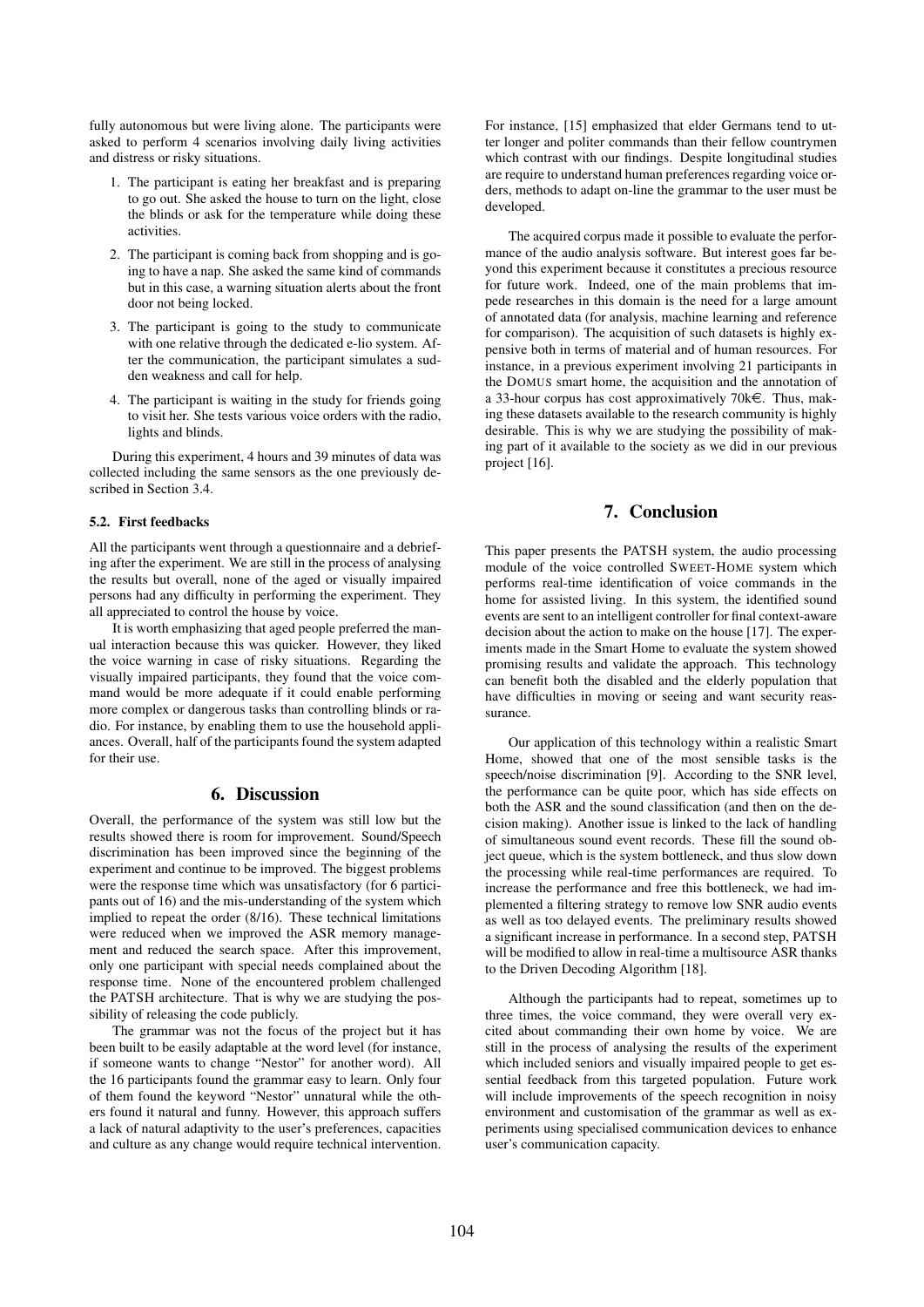fully autonomous but were living alone. The participants were asked to perform 4 scenarios involving daily living activities and distress or risky situations.

- 1. The participant is eating her breakfast and is preparing to go out. She asked the house to turn on the light, close the blinds or ask for the temperature while doing these activities.
- 2. The participant is coming back from shopping and is going to have a nap. She asked the same kind of commands but in this case, a warning situation alerts about the front door not being locked.
- 3. The participant is going to the study to communicate with one relative through the dedicated e-lio system. After the communication, the participant simulates a sudden weakness and call for help.
- 4. The participant is waiting in the study for friends going to visit her. She tests various voice orders with the radio, lights and blinds.

During this experiment, 4 hours and 39 minutes of data was collected including the same sensors as the one previously described in Section 3.4.

#### 5.2. First feedbacks

All the participants went through a questionnaire and a debriefing after the experiment. We are still in the process of analysing the results but overall, none of the aged or visually impaired persons had any difficulty in performing the experiment. They all appreciated to control the house by voice.

It is worth emphasizing that aged people preferred the manual interaction because this was quicker. However, they liked the voice warning in case of risky situations. Regarding the visually impaired participants, they found that the voice command would be more adequate if it could enable performing more complex or dangerous tasks than controlling blinds or radio. For instance, by enabling them to use the household appliances. Overall, half of the participants found the system adapted for their use.

# 6. Discussion

Overall, the performance of the system was still low but the results showed there is room for improvement. Sound/Speech discrimination has been improved since the beginning of the experiment and continue to be improved. The biggest problems were the response time which was unsatisfactory (for 6 participants out of 16) and the mis-understanding of the system which implied to repeat the order (8/16). These technical limitations were reduced when we improved the ASR memory management and reduced the search space. After this improvement, only one participant with special needs complained about the response time. None of the encountered problem challenged the PATSH architecture. That is why we are studying the possibility of releasing the code publicly.

The grammar was not the focus of the project but it has been built to be easily adaptable at the word level (for instance, if someone wants to change "Nestor" for another word). All the 16 participants found the grammar easy to learn. Only four of them found the keyword "Nestor" unnatural while the others found it natural and funny. However, this approach suffers a lack of natural adaptivity to the user's preferences, capacities and culture as any change would require technical intervention. For instance, [15] emphasized that elder Germans tend to utter longer and politer commands than their fellow countrymen which contrast with our findings. Despite longitudinal studies are require to understand human preferences regarding voice orders, methods to adapt on-line the grammar to the user must be developed.

The acquired corpus made it possible to evaluate the performance of the audio analysis software. But interest goes far beyond this experiment because it constitutes a precious resource for future work. Indeed, one of the main problems that impede researches in this domain is the need for a large amount of annotated data (for analysis, machine learning and reference for comparison). The acquisition of such datasets is highly expensive both in terms of material and of human resources. For instance, in a previous experiment involving 21 participants in the DOMUS smart home, the acquisition and the annotation of a 33-hour corpus has cost approximatively 70 $k \in$ . Thus, making these datasets available to the research community is highly desirable. This is why we are studying the possibility of making part of it available to the society as we did in our previous project [16].

# 7. Conclusion

This paper presents the PATSH system, the audio processing module of the voice controlled SWEET-HOME system which performs real-time identification of voice commands in the home for assisted living. In this system, the identified sound events are sent to an intelligent controller for final context-aware decision about the action to make on the house [17]. The experiments made in the Smart Home to evaluate the system showed promising results and validate the approach. This technology can benefit both the disabled and the elderly population that have difficulties in moving or seeing and want security reassurance.

Our application of this technology within a realistic Smart Home, showed that one of the most sensible tasks is the speech/noise discrimination [9]. According to the SNR level, the performance can be quite poor, which has side effects on both the ASR and the sound classification (and then on the decision making). Another issue is linked to the lack of handling of simultaneous sound event records. These fill the sound object queue, which is the system bottleneck, and thus slow down the processing while real-time performances are required. To increase the performance and free this bottleneck, we had implemented a filtering strategy to remove low SNR audio events as well as too delayed events. The preliminary results showed a significant increase in performance. In a second step, PATSH will be modified to allow in real-time a multisource ASR thanks to the Driven Decoding Algorithm [18].

Although the participants had to repeat, sometimes up to three times, the voice command, they were overall very excited about commanding their own home by voice. We are still in the process of analysing the results of the experiment which included seniors and visually impaired people to get essential feedback from this targeted population. Future work will include improvements of the speech recognition in noisy environment and customisation of the grammar as well as experiments using specialised communication devices to enhance user's communication capacity.